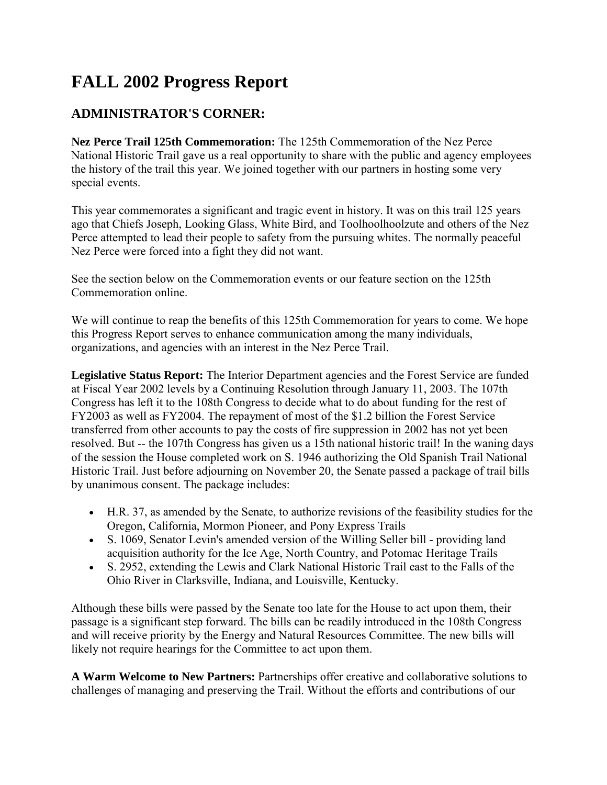# **FALL 2002 Progress Report**

# **ADMINISTRATOR'S CORNER:**

**Nez Perce Trail 125th Commemoration:** The 125th Commemoration of the Nez Perce National Historic Trail gave us a real opportunity to share with the public and agency employees the history of the trail this year. We joined together with our partners in hosting some very special events.

This year commemorates a significant and tragic event in history. It was on this trail 125 years ago that Chiefs Joseph, Looking Glass, White Bird, and Toolhoolhoolzute and others of the Nez Perce attempted to lead their people to safety from the pursuing whites. The normally peaceful Nez Perce were forced into a fight they did not want.

See the section below on the Commemoration events or our feature section on the 125th Commemoration online.

We will continue to reap the benefits of this 125th Commemoration for years to come. We hope this Progress Report serves to enhance communication among the many individuals, organizations, and agencies with an interest in the Nez Perce Trail.

**Legislative Status Report:** The Interior Department agencies and the Forest Service are funded at Fiscal Year 2002 levels by a Continuing Resolution through January 11, 2003. The 107th Congress has left it to the 108th Congress to decide what to do about funding for the rest of FY2003 as well as FY2004. The repayment of most of the \$1.2 billion the Forest Service transferred from other accounts to pay the costs of fire suppression in 2002 has not yet been resolved. But -- the 107th Congress has given us a 15th national historic trail! In the waning days of the session the House completed work on S. 1946 authorizing the Old Spanish Trail National Historic Trail. Just before adjourning on November 20, the Senate passed a package of trail bills by unanimous consent. The package includes:

- H.R. 37, as amended by the Senate, to authorize revisions of the feasibility studies for the Oregon, California, Mormon Pioneer, and Pony Express Trails
- S. 1069, Senator Levin's amended version of the Willing Seller bill providing land acquisition authority for the Ice Age, North Country, and Potomac Heritage Trails
- S. 2952, extending the Lewis and Clark National Historic Trail east to the Falls of the Ohio River in Clarksville, Indiana, and Louisville, Kentucky.

Although these bills were passed by the Senate too late for the House to act upon them, their passage is a significant step forward. The bills can be readily introduced in the 108th Congress and will receive priority by the Energy and Natural Resources Committee. The new bills will likely not require hearings for the Committee to act upon them.

**A Warm Welcome to New Partners:** Partnerships offer creative and collaborative solutions to challenges of managing and preserving the Trail. Without the efforts and contributions of our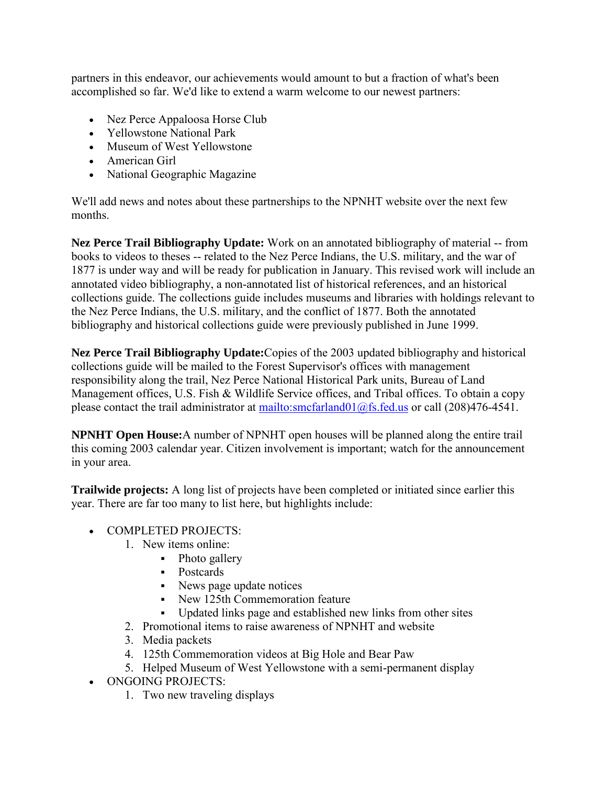partners in this endeavor, our achievements would amount to but a fraction of what's been accomplished so far. We'd like to extend a warm welcome to our newest partners:

- Nez Perce Appaloosa Horse Club
- Yellowstone National Park
- Museum of West Yellowstone
- American Girl
- National Geographic Magazine

We'll add news and notes about these partnerships to the NPNHT website over the next few months.

**Nez Perce Trail Bibliography Update:** Work on an annotated bibliography of material -- from books to videos to theses -- related to the Nez Perce Indians, the U.S. military, and the war of 1877 is under way and will be ready for publication in January. This revised work will include an annotated video bibliography, a non-annotated list of historical references, and an historical collections guide. The collections guide includes museums and libraries with holdings relevant to the Nez Perce Indians, the U.S. military, and the conflict of 1877. Both the annotated bibliography and historical collections guide were previously published in June 1999.

**Nez Perce Trail Bibliography Update:**Copies of the 2003 updated bibliography and historical collections guide will be mailed to the Forest Supervisor's offices with management responsibility along the trail, Nez Perce National Historical Park units, Bureau of Land Management offices, U.S. Fish & Wildlife Service offices, and Tribal offices. To obtain a copy please contact the trail administrator at mailto:smcfarland01 $@$ fs.fed.us or call (208)476-4541.

**NPNHT Open House:**A number of NPNHT open houses will be planned along the entire trail this coming 2003 calendar year. Citizen involvement is important; watch for the announcement in your area.

**Trailwide projects:** A long list of projects have been completed or initiated since earlier this year. There are far too many to list here, but highlights include:

- COMPLETED PROJECTS·
	- 1. New items online:
		- Photo gallery
		- Postcards
		- News page update notices
		- New 125th Commemoration feature
		- Updated links page and established new links from other sites
	- 2. Promotional items to raise awareness of NPNHT and website
	- 3. Media packets
	- 4. 125th Commemoration videos at Big Hole and Bear Paw
	- 5. Helped Museum of West Yellowstone with a semi-permanent display
- ONGOING PROJECTS:
	- 1. Two new traveling displays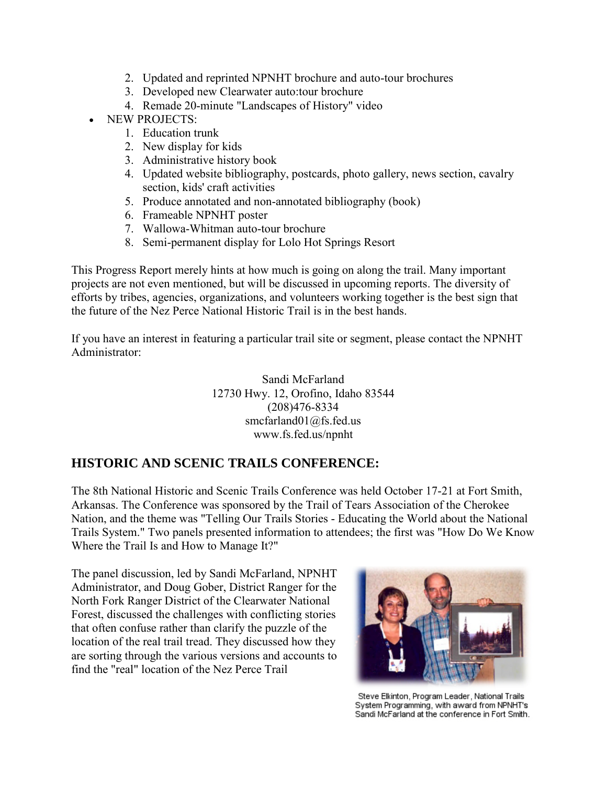- 2. Updated and reprinted NPNHT brochure and auto-tour brochures
- 3. Developed new Clearwater auto:tour brochure
- 4. Remade 20-minute "Landscapes of History" video
- NEW PROJECTS:
	- 1. Education trunk
	- 2. New display for kids
	- 3. Administrative history book
	- 4. Updated website bibliography, postcards, photo gallery, news section, cavalry section, kids' craft activities
	- 5. Produce annotated and non-annotated bibliography (book)
	- 6. Frameable NPNHT poster
	- 7. Wallowa-Whitman auto-tour brochure
	- 8. Semi-permanent display for Lolo Hot Springs Resort

This Progress Report merely hints at how much is going on along the trail. Many important projects are not even mentioned, but will be discussed in upcoming reports. The diversity of efforts by tribes, agencies, organizations, and volunteers working together is the best sign that the future of the Nez Perce National Historic Trail is in the best hands.

If you have an interest in featuring a particular trail site or segment, please contact the NPNHT Administrator:

> Sandi McFarland 12730 Hwy. 12, Orofino, Idaho 83544 (208)476-8334 smcfarland01@fs.fed.us www.fs.fed.us/npnht

# **HISTORIC AND SCENIC TRAILS CONFERENCE:**

The 8th National Historic and Scenic Trails Conference was held October 17-21 at Fort Smith, Arkansas. The Conference was sponsored by the Trail of Tears Association of the Cherokee Nation, and the theme was "Telling Our Trails Stories - Educating the World about the National Trails System." Two panels presented information to attendees; the first was "How Do We Know Where the Trail Is and How to Manage It?"

The panel discussion, led by Sandi McFarland, NPNHT Administrator, and Doug Gober, District Ranger for the North Fork Ranger District of the Clearwater National Forest, discussed the challenges with conflicting stories that often confuse rather than clarify the puzzle of the location of the real trail tread. They discussed how they are sorting through the various versions and accounts to find the "real" location of the Nez Perce Trail



Steve Elkinton, Program Leader, National Trails System Programming, with award from NPNHT's Sandi McFarland at the conference in Fort Smith.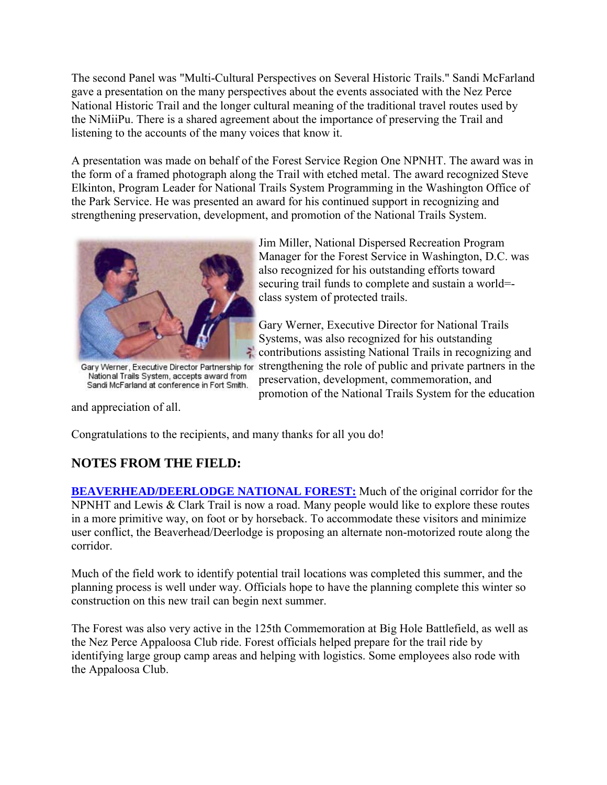The second Panel was "Multi-Cultural Perspectives on Several Historic Trails." Sandi McFarland gave a presentation on the many perspectives about the events associated with the Nez Perce National Historic Trail and the longer cultural meaning of the traditional travel routes used by the NiMiiPu. There is a shared agreement about the importance of preserving the Trail and listening to the accounts of the many voices that know it.

A presentation was made on behalf of the Forest Service Region One NPNHT. The award was in the form of a framed photograph along the Trail with etched metal. The award recognized Steve Elkinton, Program Leader for National Trails System Programming in the Washington Office of the Park Service. He was presented an award for his continued support in recognizing and strengthening preservation, development, and promotion of the National Trails System.



Gary Werner, Executive Director Partnership for National Trails System, accepts award from Sandi McFarland at conference in Fort Smith.

Jim Miller, National Dispersed Recreation Program Manager for the Forest Service in Washington, D.C. was also recognized for his outstanding efforts toward securing trail funds to complete and sustain a world= class system of protected trails.

Gary Werner, Executive Director for National Trails Systems, was also recognized for his outstanding contributions assisting National Trails in recognizing and strengthening the role of public and private partners in the preservation, development, commemoration, and promotion of the National Trails System for the education

and appreciation of all.

Congratulations to the recipients, and many thanks for all you do!

# **NOTES FROM THE FIELD:**

**[BEAVERHEAD/DEERLODGE NATIONAL FOREST:](http://www.fs.fed.us/r1/b-d/)** Much of the original corridor for the NPNHT and Lewis & Clark Trail is now a road. Many people would like to explore these routes in a more primitive way, on foot or by horseback. To accommodate these visitors and minimize user conflict, the Beaverhead/Deerlodge is proposing an alternate non-motorized route along the corridor.

Much of the field work to identify potential trail locations was completed this summer, and the planning process is well under way. Officials hope to have the planning complete this winter so construction on this new trail can begin next summer.

The Forest was also very active in the 125th Commemoration at Big Hole Battlefield, as well as the Nez Perce Appaloosa Club ride. Forest officials helped prepare for the trail ride by identifying large group camp areas and helping with logistics. Some employees also rode with the Appaloosa Club.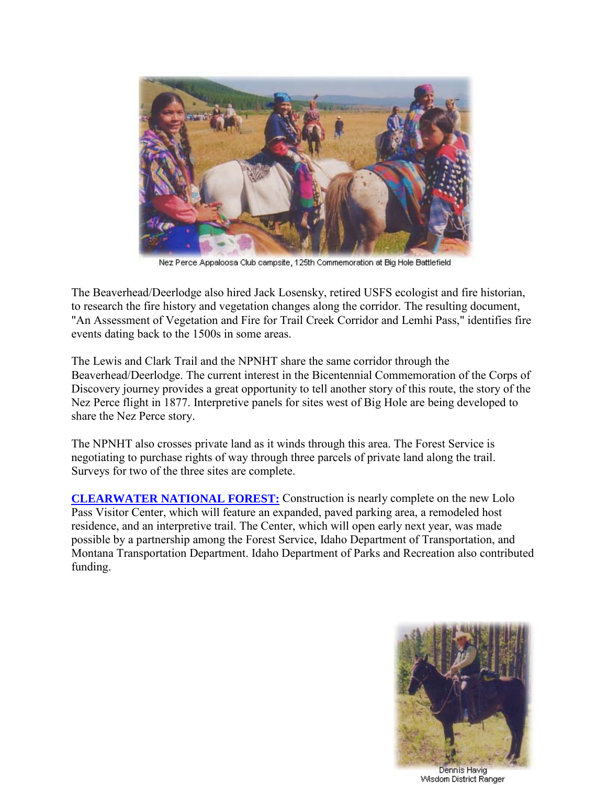

Nez Perce Appaloosa Club campsite, 125th Commemoration at Big Hole Battlefield

The Beaverhead/Deerlodge also hired Jack Losensky, retired USFS ecologist and fire historian, to research the fire history and vegetation changes along the corridor. The resulting document, "An Assessment of Vegetation and Fire for Trail Creek Corridor and Lemhi Pass," identifies fire events dating back to the 1500s in some areas.

The Lewis and Clark Trail and the NPNHT share the same corridor through the Beaverhead/Deerlodge. The current interest in the Bicentennial Commemoration of the Corps of Discovery journey provides a great opportunity to tell another story of this route, the story of the Nez Perce flight in 1877. Interpretive panels for sites west of Big Hole are being developed to share the Nez Perce story.

The NPNHT also crosses private land as it winds through this area. The Forest Service is negotiating to purchase rights of way through three parcels of private land along the trail. Surveys for two of the three sites are complete.

**[CLEARWATER NATIONAL FOREST:](http://www.fs.fed.us/r1/clearwater/)** Construction is nearly complete on the new Lolo Pass Visitor Center, which will feature an expanded, paved parking area, a remodeled host residence, and an interpretive trail. The Center, which will open early next year, was made possible by a partnership among the Forest Service, Idaho Department of Transportation, and Montana Transportation Department. Idaho Department of Parks and Recreation also contributed funding.



Wisdom District Ranger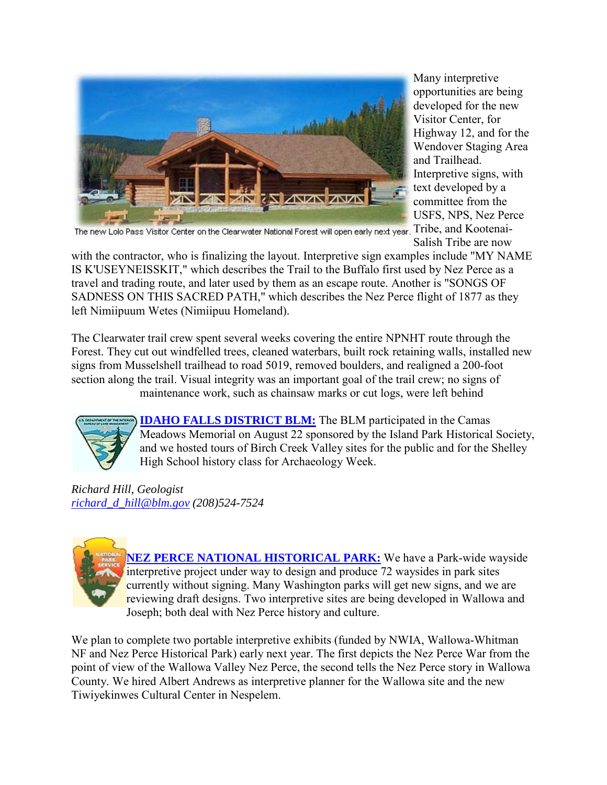

Many interpretive opportunities are being developed for the new Visitor Center, for Highway 12, and for the Wendover Staging Area and Trailhead. Interpretive signs, with text developed by a committee from the USFS, NPS, Nez Perce Salish Tribe are now

The new Lolo Pass Visitor Center on the Clearwater National Forest will open early next year. Tribe, and Kootenai-

with the contractor, who is finalizing the layout. Interpretive sign examples include "MY NAME IS K'USEYNEISSKIT," which describes the Trail to the Buffalo first used by Nez Perce as a travel and trading route, and later used by them as an escape route. Another is "SONGS OF SADNESS ON THIS SACRED PATH," which describes the Nez Perce flight of 1877 as they left Nimiipuum Wetes (Nimiipuu Homeland).

The Clearwater trail crew spent several weeks covering the entire NPNHT route through the Forest. They cut out windfelled trees, cleaned waterbars, built rock retaining walls, installed new signs from Musselshell trailhead to road 5019, removed boulders, and realigned a 200-foot section along the trail. Visual integrity was an important goal of the trail crew; no signs of maintenance work, such as chainsaw marks or cut logs, were left behind



**IDAHO FALLS DISTRICT BLM:** The BLM participated in the Camas Meadows Memorial on August 22 sponsored by the Island Park Historical Society, and we hosted tours of Birch Creek Valley sites for the public and for the Shelley High School history class for Archaeology Week.

*Richard Hill, Geologist [richard\\_d\\_hill@blm.gov](mailto:richard_d_hill@blm.gov) (208)524-7524* 



**[NEZ PERCE NATIONAL HISTORICAL PARK:](http://www.nps.gov/nepe/)** We have a Park-wide wayside interpretive project under way to design and produce 72 waysides in park sites currently without signing. Many Washington parks will get new signs, and we are reviewing draft designs. Two interpretive sites are being developed in Wallowa and Joseph; both deal with Nez Perce history and culture.

We plan to complete two portable interpretive exhibits (funded by NWIA, Wallowa-Whitman NF and Nez Perce Historical Park) early next year. The first depicts the Nez Perce War from the point of view of the Wallowa Valley Nez Perce, the second tells the Nez Perce story in Wallowa County. We hired Albert Andrews as interpretive planner for the Wallowa site and the new Tiwiyekinwes Cultural Center in Nespelem.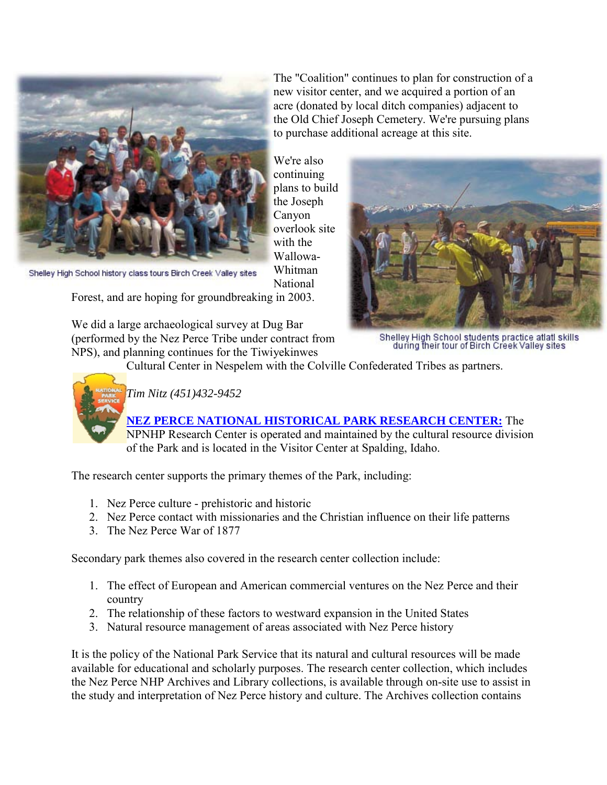

The "Coalition" continues to plan for construction of a new visitor center, and we acquired a portion of an acre (donated by local ditch companies) adjacent to the Old Chief Joseph Cemetery. We're pursuing plans to purchase additional acreage at this site.

We're also continuing plans to build the Joseph Canyon overlook site with the Wallowa-Whitman National

Shelley High School history class tours Birch Creek Valley sites

Forest, and are hoping for groundbreaking in 2003.

We did a large archaeological survey at Dug Bar (performed by the Nez Perce Tribe under contract from NPS), and planning continues for the Tiwiyekinwes



Shelley High School students practice atlatl skills<br>during their tour of Birch Creek Valley sites

Cultural Center in Nespelem with the Colville Confederated Tribes as partners.



# *Tim Nitz (451)432-9452*

### **[NEZ PERCE NATIONAL HISTORICAL PARK RESEARCH CENTER:](http://www.nps.gov/nepe/)** The

NPNHP Research Center is operated and maintained by the cultural resource division of the Park and is located in the Visitor Center at Spalding, Idaho.

The research center supports the primary themes of the Park, including:

- 1. Nez Perce culture prehistoric and historic
- 2. Nez Perce contact with missionaries and the Christian influence on their life patterns
- 3. The Nez Perce War of 1877

Secondary park themes also covered in the research center collection include:

- 1. The effect of European and American commercial ventures on the Nez Perce and their country
- 2. The relationship of these factors to westward expansion in the United States
- 3. Natural resource management of areas associated with Nez Perce history

It is the policy of the National Park Service that its natural and cultural resources will be made available for educational and scholarly purposes. The research center collection, which includes the Nez Perce NHP Archives and Library collections, is available through on-site use to assist in the study and interpretation of Nez Perce history and culture. The Archives collection contains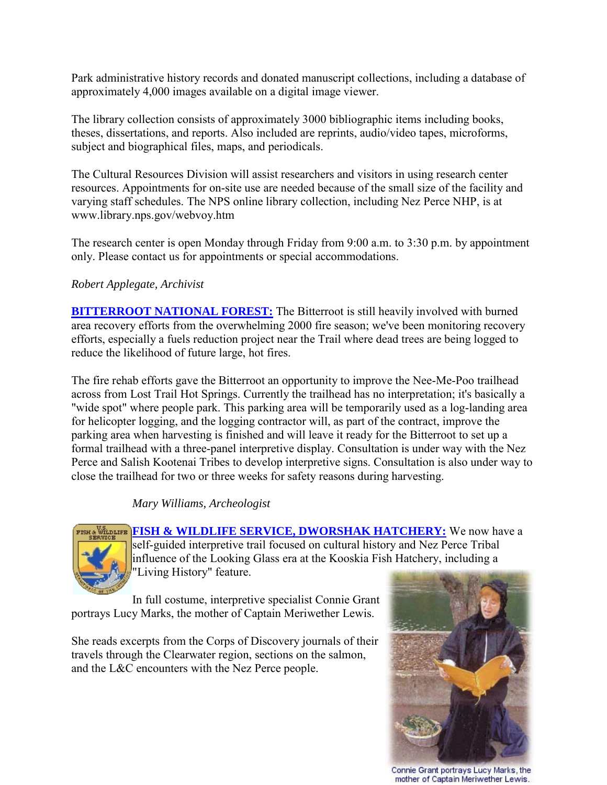Park administrative history records and donated manuscript collections, including a database of approximately 4,000 images available on a digital image viewer.

The library collection consists of approximately 3000 bibliographic items including books, theses, dissertations, and reports. Also included are reprints, audio/video tapes, microforms, subject and biographical files, maps, and periodicals.

The Cultural Resources Division will assist researchers and visitors in using research center resources. Appointments for on-site use are needed because of the small size of the facility and varying staff schedules. The NPS online library collection, including Nez Perce NHP, is at www.library.nps.gov/webvoy.htm

The research center is open Monday through Friday from 9:00 a.m. to 3:30 p.m. by appointment only. Please contact us for appointments or special accommodations.

#### *Robert Applegate, Archivist*

**[BITTERROOT NATIONAL FOREST:](http://www.fs.fed.us/r1/bitterroot/)** The Bitterroot is still heavily involved with burned area recovery efforts from the overwhelming 2000 fire season; we've been monitoring recovery efforts, especially a fuels reduction project near the Trail where dead trees are being logged to reduce the likelihood of future large, hot fires.

The fire rehab efforts gave the Bitterroot an opportunity to improve the Nee-Me-Poo trailhead across from Lost Trail Hot Springs. Currently the trailhead has no interpretation; it's basically a "wide spot" where people park. This parking area will be temporarily used as a log-landing area for helicopter logging, and the logging contractor will, as part of the contract, improve the parking area when harvesting is finished and will leave it ready for the Bitterroot to set up a formal trailhead with a three-panel interpretive display. Consultation is under way with the Nez Perce and Salish Kootenai Tribes to develop interpretive signs. Consultation is also under way to close the trailhead for two or three weeks for safety reasons during harvesting.

### *Mary Williams, Archeologist*



[FISH & WILDLIFE SERVICE, DWORSHAK HATCHERY:](http://dworshak.fws.gov/) We now have a self-guided interpretive trail focused on cultural history and Nez Perce Tribal influence of the Looking Glass era at the Kooskia Fish Hatchery, including a "Living History" feature.

In full costume, interpretive specialist Connie Grant portrays Lucy Marks, the mother of Captain Meriwether Lewis.

She reads excerpts from the Corps of Discovery journals of their travels through the Clearwater region, sections on the salmon, and the L&C encounters with the Nez Perce people.



Connie Grant portrays Lucy Marks, the mother of Captain Meriwether Lewis.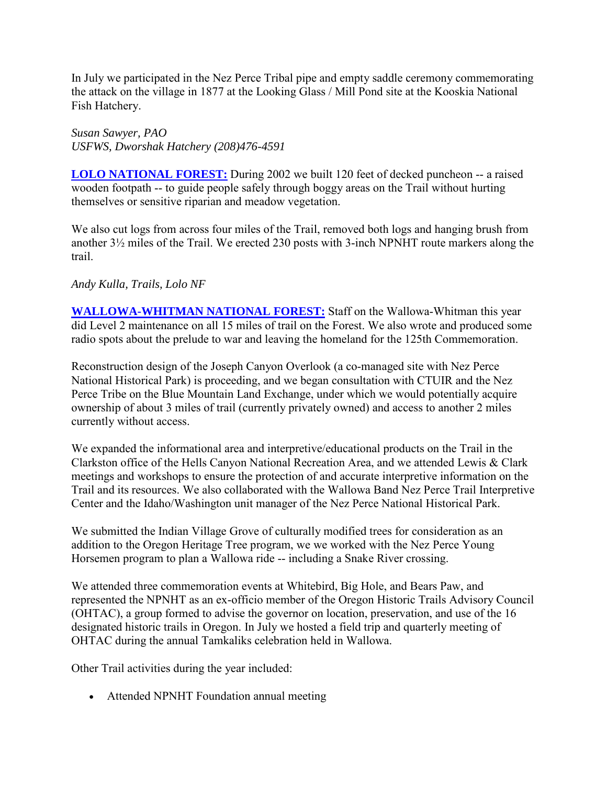In July we participated in the Nez Perce Tribal pipe and empty saddle ceremony commemorating the attack on the village in 1877 at the Looking Glass / Mill Pond site at the Kooskia National Fish Hatchery.

*Susan Sawyer, PAO USFWS, Dworshak Hatchery (208)476-4591* 

**[LOLO NATIONAL FOREST:](http://www.fs.fed.us/r1/lolo/)** During 2002 we built 120 feet of decked puncheon -- a raised wooden footpath -- to guide people safely through boggy areas on the Trail without hurting themselves or sensitive riparian and meadow vegetation.

We also cut logs from across four miles of the Trail, removed both logs and hanging brush from another 3½ miles of the Trail. We erected 230 posts with 3-inch NPNHT route markers along the trail.

#### *Andy Kulla, Trails, Lolo NF*

**[WALLOWA-WHITMAN NATIONAL FOREST:](http://www.fs.fed.us/r6/w-w/)** Staff on the Wallowa-Whitman this year did Level 2 maintenance on all 15 miles of trail on the Forest. We also wrote and produced some radio spots about the prelude to war and leaving the homeland for the 125th Commemoration.

Reconstruction design of the Joseph Canyon Overlook (a co-managed site with Nez Perce National Historical Park) is proceeding, and we began consultation with CTUIR and the Nez Perce Tribe on the Blue Mountain Land Exchange, under which we would potentially acquire ownership of about 3 miles of trail (currently privately owned) and access to another 2 miles currently without access.

We expanded the informational area and interpretive/educational products on the Trail in the Clarkston office of the Hells Canyon National Recreation Area, and we attended Lewis & Clark meetings and workshops to ensure the protection of and accurate interpretive information on the Trail and its resources. We also collaborated with the Wallowa Band Nez Perce Trail Interpretive Center and the Idaho/Washington unit manager of the Nez Perce National Historical Park.

We submitted the Indian Village Grove of culturally modified trees for consideration as an addition to the Oregon Heritage Tree program, we we worked with the Nez Perce Young Horsemen program to plan a Wallowa ride -- including a Snake River crossing.

We attended three commemoration events at Whitebird, Big Hole, and Bears Paw, and represented the NPNHT as an ex-officio member of the Oregon Historic Trails Advisory Council (OHTAC), a group formed to advise the governor on location, preservation, and use of the 16 designated historic trails in Oregon. In July we hosted a field trip and quarterly meeting of OHTAC during the annual Tamkaliks celebration held in Wallowa.

Other Trail activities during the year included:

• Attended NPNHT Foundation annual meeting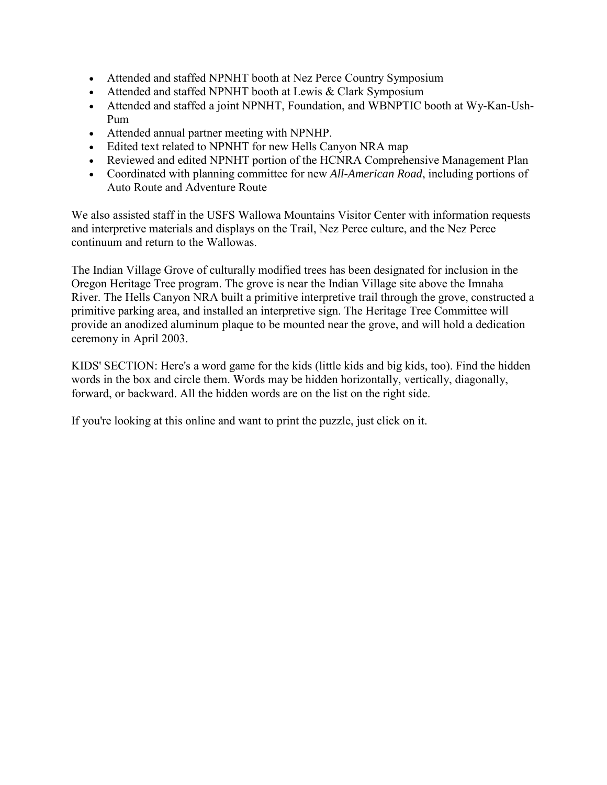- Attended and staffed NPNHT booth at Nez Perce Country Symposium
- Attended and staffed NPNHT booth at Lewis & Clark Symposium
- Attended and staffed a joint NPNHT, Foundation, and WBNPTIC booth at Wy-Kan-Ush-Pum
- Attended annual partner meeting with NPNHP.
- Edited text related to NPNHT for new Hells Canyon NRA map
- Reviewed and edited NPNHT portion of the HCNRA Comprehensive Management Plan
- Coordinated with planning committee for new *All-American Road*, including portions of Auto Route and Adventure Route

We also assisted staff in the USFS Wallowa Mountains Visitor Center with information requests and interpretive materials and displays on the Trail, Nez Perce culture, and the Nez Perce continuum and return to the Wallowas.

The Indian Village Grove of culturally modified trees has been designated for inclusion in the Oregon Heritage Tree program. The grove is near the Indian Village site above the Imnaha River. The Hells Canyon NRA built a primitive interpretive trail through the grove, constructed a primitive parking area, and installed an interpretive sign. The Heritage Tree Committee will provide an anodized aluminum plaque to be mounted near the grove, and will hold a dedication ceremony in April 2003.

KIDS' SECTION: Here's a word game for the kids (little kids and big kids, too). Find the hidden words in the box and circle them. Words may be hidden horizontally, vertically, diagonally, forward, or backward. All the hidden words are on the list on the right side.

If you're looking at this online and want to print the puzzle, just click on it.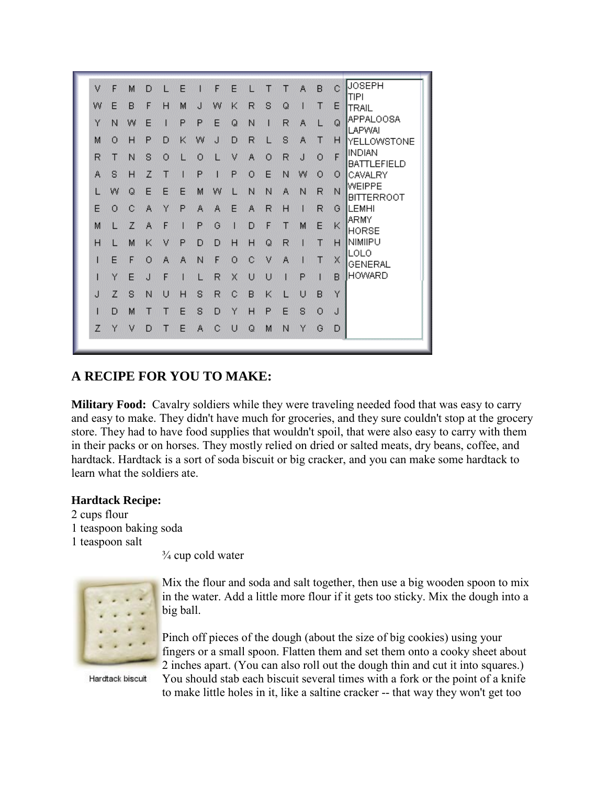

# **A RECIPE FOR YOU TO MAKE:**

**Military Food:** Cavalry soldiers while they were traveling needed food that was easy to carry and easy to make. They didn't have much for groceries, and they sure couldn't stop at the grocery store. They had to have food supplies that wouldn't spoil, that were also easy to carry with them in their packs or on horses. They mostly relied on dried or salted meats, dry beans, coffee, and hardtack. Hardtack is a sort of soda biscuit or big cracker, and you can make some hardtack to learn what the soldiers ate.

#### **Hardtack Recipe:**

2 cups flour 1 teaspoon baking soda 1 teaspoon salt

 $\frac{3}{4}$  cup cold water



Mix the flour and soda and salt together, then use a big wooden spoon to mix in the water. Add a little more flour if it gets too sticky. Mix the dough into a big ball.

Pinch off pieces of the dough (about the size of big cookies) using your fingers or a small spoon. Flatten them and set them onto a cooky sheet about 2 inches apart. (You can also roll out the dough thin and cut it into squares.) You should stab each biscuit several times with a fork or the point of a knife to make little holes in it, like a saltine cracker -- that way they won't get too

Hardtack biscuit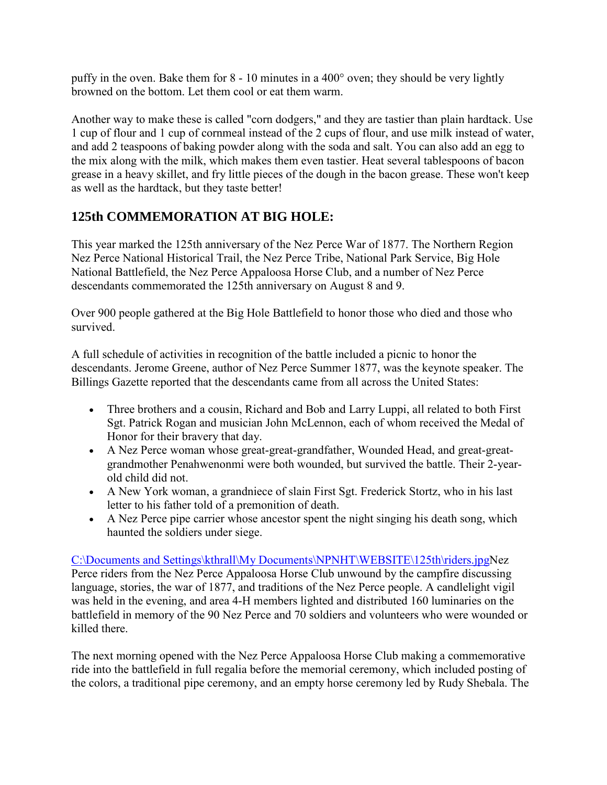puffy in the oven. Bake them for 8 - 10 minutes in a 400° oven; they should be very lightly browned on the bottom. Let them cool or eat them warm.

Another way to make these is called "corn dodgers," and they are tastier than plain hardtack. Use 1 cup of flour and 1 cup of cornmeal instead of the 2 cups of flour, and use milk instead of water, and add 2 teaspoons of baking powder along with the soda and salt. You can also add an egg to the mix along with the milk, which makes them even tastier. Heat several tablespoons of bacon grease in a heavy skillet, and fry little pieces of the dough in the bacon grease. These won't keep as well as the hardtack, but they taste better!

# **125th COMMEMORATION AT BIG HOLE:**

This year marked the 125th anniversary of the Nez Perce War of 1877. The Northern Region Nez Perce National Historical Trail, the Nez Perce Tribe, National Park Service, Big Hole National Battlefield, the Nez Perce Appaloosa Horse Club, and a number of Nez Perce descendants commemorated the 125th anniversary on August 8 and 9.

Over 900 people gathered at the Big Hole Battlefield to honor those who died and those who survived.

A full schedule of activities in recognition of the battle included a picnic to honor the descendants. Jerome Greene, author of Nez Perce Summer 1877, was the keynote speaker. The Billings Gazette reported that the descendants came from all across the United States:

- Three brothers and a cousin, Richard and Bob and Larry Luppi, all related to both First Sgt. Patrick Rogan and musician John McLennon, each of whom received the Medal of Honor for their bravery that day.
- A Nez Perce woman whose great-great-grandfather, Wounded Head, and great-greatgrandmother Penahwenonmi were both wounded, but survived the battle. Their 2-yearold child did not.
- A New York woman, a grandniece of slain First Sgt. Frederick Stortz, who in his last letter to his father told of a premonition of death.
- A Nez Perce pipe carrier whose ancestor spent the night singing his death song, which haunted the soldiers under siege.

C:\Documents and Settings\kthrall\My Documents\NPNHT\WEBSITE\125th\riders.jpgNez Perce riders from the Nez Perce Appaloosa Horse Club unwound by the campfire discussing language, stories, the war of 1877, and traditions of the Nez Perce people. A candlelight vigil was held in the evening, and area 4-H members lighted and distributed 160 luminaries on the battlefield in memory of the 90 Nez Perce and 70 soldiers and volunteers who were wounded or killed there.

The next morning opened with the Nez Perce Appaloosa Horse Club making a commemorative ride into the battlefield in full regalia before the memorial ceremony, which included posting of the colors, a traditional pipe ceremony, and an empty horse ceremony led by Rudy Shebala. The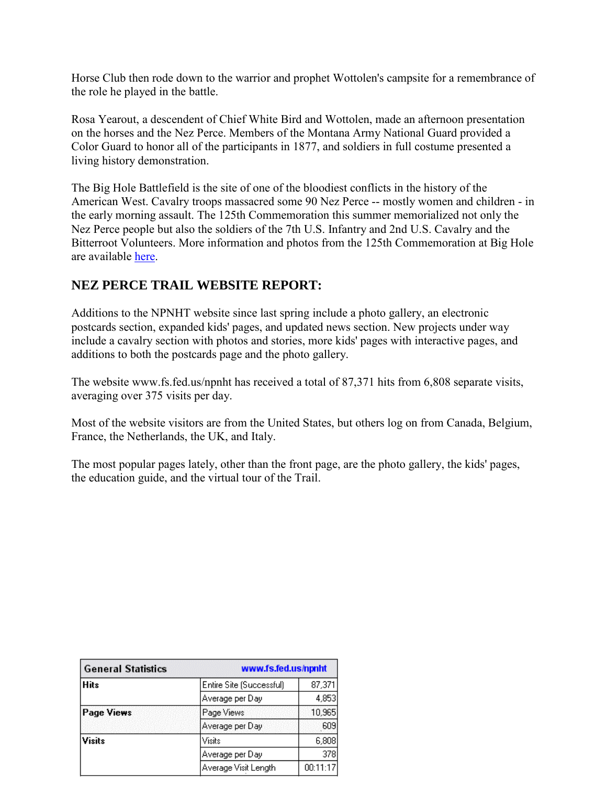Horse Club then rode down to the warrior and prophet Wottolen's campsite for a remembrance of the role he played in the battle.

Rosa Yearout, a descendent of Chief White Bird and Wottolen, made an afternoon presentation on the horses and the Nez Perce. Members of the Montana Army National Guard provided a Color Guard to honor all of the participants in 1877, and soldiers in full costume presented a living history demonstration.

The Big Hole Battlefield is the site of one of the bloodiest conflicts in the history of the American West. Cavalry troops massacred some 90 Nez Perce -- mostly women and children - in the early morning assault. The 125th Commemoration this summer memorialized not only the Nez Perce people but also the soldiers of the 7th U.S. Infantry and 2nd U.S. Cavalry and the Bitterroot Volunteers. More information and photos from the 125th Commemoration at Big Hole are available here.

### **NEZ PERCE TRAIL WEBSITE REPORT:**

Additions to the NPNHT website since last spring include a photo gallery, an electronic postcards section, expanded kids' pages, and updated news section. New projects under way include a cavalry section with photos and stories, more kids' pages with interactive pages, and additions to both the postcards page and the photo gallery.

The website www.fs.fed.us/npnht has received a total of 87,371 hits from 6,808 separate visits, averaging over 375 visits per day.

Most of the website visitors are from the United States, but others log on from Canada, Belgium, France, the Netherlands, the UK, and Italy.

The most popular pages lately, other than the front page, are the photo gallery, the kids' pages, the education guide, and the virtual tour of the Trail.

| <b>General Statistics</b> | www.fs.fed.us/npnht      |          |  |
|---------------------------|--------------------------|----------|--|
| <b>Hits</b>               | Entire Site (Successful) | 87,371   |  |
|                           | Average per Day          | 4,853    |  |
| <b>Page Views</b>         | Page Views               | 10,965   |  |
|                           | Average per Day          | 609      |  |
| <b>Visits</b>             | Visits                   | 6,808    |  |
|                           | Average per Day          | 378      |  |
|                           | Average Visit Length     | 00:11:17 |  |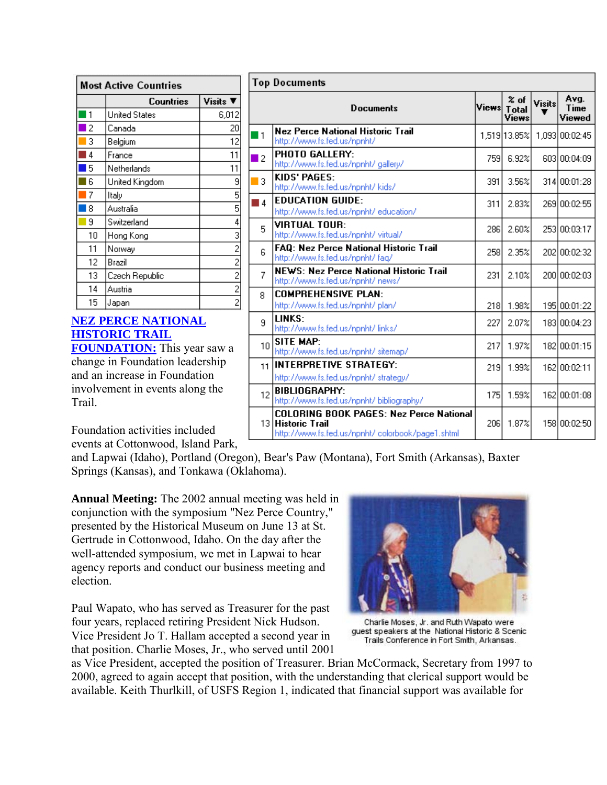| Most Active Countries |                      |                |  |  |
|-----------------------|----------------------|----------------|--|--|
|                       | Countries            | Visits ▼       |  |  |
|                       | <b>United States</b> | 6,012          |  |  |
| 2                     | Canada               | 20             |  |  |
| 3                     | Belgium              | 12             |  |  |
| 4                     | France               | 11             |  |  |
| 5                     | Netherlands          | 11             |  |  |
| 6                     | United Kingdom       | 9              |  |  |
| 7                     | Italy                | 5              |  |  |
| 8                     | Australia            | 5              |  |  |
| 9                     | Switzerland          | 4              |  |  |
| 10                    | Hong Kong            | 3              |  |  |
| 11                    | Norway               | $\overline{c}$ |  |  |
| 12                    | Brazil               | 2              |  |  |
| 13                    | Czech Republic       | 2              |  |  |
| 14                    | Austria              | 2              |  |  |
| 15                    | Japan                | $\overline{c}$ |  |  |

# **[NEZ PERCE NATIONAL](http://www.nezpercetrail.net/)  [HISTORIC TRAIL](http://www.nezpercetrail.net/)**

**[FOUNDATION:](http://www.nezpercetrail.net/)** This year saw a change in Foundation leadership and an increase in Foundation involvement in events along the Trail.

| Top Documents  |                                                                                                                          |              |                                                       |                    |                        |  |
|----------------|--------------------------------------------------------------------------------------------------------------------------|--------------|-------------------------------------------------------|--------------------|------------------------|--|
|                | <b>Documents</b>                                                                                                         | <b>Views</b> | $\boldsymbol{\mathsf{z}}$ of<br><b>Total</b><br>Views | <b>Visits</b><br>Ŧ | Avg.<br>Time<br>Viewed |  |
| ■1             | Nez Perce National Historic Trail<br>http://www.fs.fed.us/npnht/                                                         |              | 1,519 13.85%                                          |                    | 1,093 00:02:45         |  |
| $\blacksquare$ | <b>PHOTO GALLERY:</b><br>http://www.fs.fed.us/npnht/ gallery/                                                            | 759          | 6.92%                                                 |                    | 603100:04:09           |  |
| 3              | KIDS' PAGES:<br>http://www.fs.fed.us/npnht/ kids/                                                                        | 391          | 3.56%                                                 |                    | 314 00:01:28           |  |
| <b>1</b>       | <b>EDUCATION GUIDE:</b><br>http://www.fs.fed.us/npnht/ education/                                                        | 311          | 2.83%                                                 |                    | 269100:02:55           |  |
| 5              | VIRTUAL TOUR:<br>http://www.fs.fed.us/npnht/ virtual/                                                                    | 286)         | 2.60%                                                 |                    | 253 00:03:17           |  |
| 6              | <b>FAQ: Nez Perce National Historic Trail</b><br>http://www.fs.fed.us/npnht/ faq/                                        | 258l         | 2.35%                                                 |                    | 202100:02:32           |  |
| 7              | <b>NEWS: Nez Perce National Historic Trail</b><br>http://www.fs.fed.us/npnht/ news/                                      | 231          | 2.10%                                                 |                    | 200 00:02:03           |  |
| 8              | <b>COMPREHENSIVE PLAN:</b><br>http://www.fs.fed.us/npnht/ plan/                                                          | 218I         | 1.98%                                                 |                    | 195 00:01:22           |  |
| 9              | LINKS:<br>http://www.fs.fed.us/npnht/links/                                                                              | 227          | 2.07%                                                 |                    | 183 00:04:23           |  |
| 10             | SITE MAP:<br>http://www.fs.fed.us/npnht/ sitemap/                                                                        | 217          | 1.97%                                                 |                    | 182100:01:15           |  |
| 11             | INTERPRETIVE STRATEGY:<br>http://www.fs.fed.us/npnht/ strategy/                                                          | 219          | 1.99%                                                 |                    | 162 00:02:11           |  |
| 12             | <b>BIBLIOGRAPHY:</b><br>http://www.fs.fed.us/npnht/ bibliography/                                                        | 175          | 1.59%                                                 |                    | 162 00:01:08           |  |
|                | <b>COLORING BOOK PAGES: Nez Perce National</b><br>13 Historic Trail<br>http://www.fs.fed.us/npnht/ colorbook/page1.shtml | 206l         | 1.87%                                                 |                    | 158 00:02:50           |  |

Foundation activities included events at Cottonwood, Island Park,

and Lapwai (Idaho), Portland (Oregon), Bear's Paw (Montana), Fort Smith (Arkansas), Baxter Springs (Kansas), and Tonkawa (Oklahoma).

**Annual Meeting:** The 2002 annual meeting was held in conjunction with the symposium "Nez Perce Country," presented by the Historical Museum on June 13 at St. Gertrude in Cottonwood, Idaho. On the day after the well-attended symposium, we met in Lapwai to hear agency reports and conduct our business meeting and election.

Paul Wapato, who has served as Treasurer for the past four years, replaced retiring President Nick Hudson. Vice President Jo T. Hallam accepted a second year in that position. Charlie Moses, Jr., who served until 2001



Charlie Moses, Jr. and Ruth Wapato were guest speakers at the National Historic & Scenic Trails Conference in Fort Smith, Arkansas.

as Vice President, accepted the position of Treasurer. Brian McCormack, Secretary from 1997 to 2000, agreed to again accept that position, with the understanding that clerical support would be available. Keith Thurlkill, of USFS Region 1, indicated that financial support was available for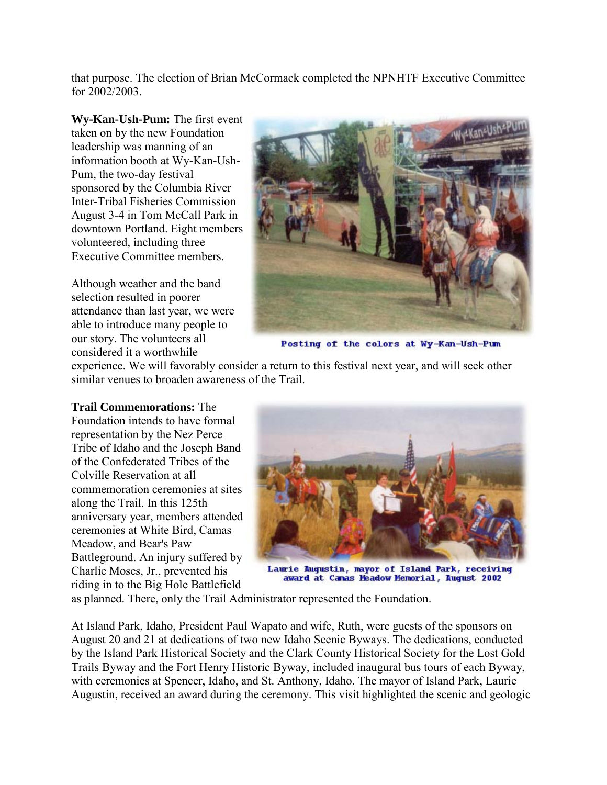that purpose. The election of Brian McCormack completed the NPNHTF Executive Committee for 2002/2003.

**Wy-Kan-Ush-Pum:** The first event taken on by the new Foundation leadership was manning of an information booth at Wy-Kan-Ush-Pum, the two-day festival sponsored by the Columbia River Inter-Tribal Fisheries Commission August 3-4 in Tom McCall Park in downtown Portland. Eight members volunteered, including three Executive Committee members.

Although weather and the band selection resulted in poorer attendance than last year, we were able to introduce many people to our story. The volunteers all considered it a worthwhile



Posting of the colors at Wy-Kan-Ush-Pum

experience. We will favorably consider a return to this festival next year, and will seek other similar venues to broaden awareness of the Trail.

**Trail Commemorations:** The

Foundation intends to have formal representation by the Nez Perce Tribe of Idaho and the Joseph Band of the Confederated Tribes of the Colville Reservation at all commemoration ceremonies at sites along the Trail. In this 125th anniversary year, members attended ceremonies at White Bird, Camas Meadow, and Bear's Paw Battleground. An injury suffered by Charlie Moses, Jr., prevented his riding in to the Big Hole Battlefield



Laurie Augustin, mayor of Island Park, receiving award at Camas Meadow Memorial, August 2002

as planned. There, only the Trail Administrator represented the Foundation.

At Island Park, Idaho, President Paul Wapato and wife, Ruth, were guests of the sponsors on August 20 and 21 at dedications of two new Idaho Scenic Byways. The dedications, conducted by the Island Park Historical Society and the Clark County Historical Society for the Lost Gold Trails Byway and the Fort Henry Historic Byway, included inaugural bus tours of each Byway, with ceremonies at Spencer, Idaho, and St. Anthony, Idaho. The mayor of Island Park, Laurie Augustin, received an award during the ceremony. This visit highlighted the scenic and geologic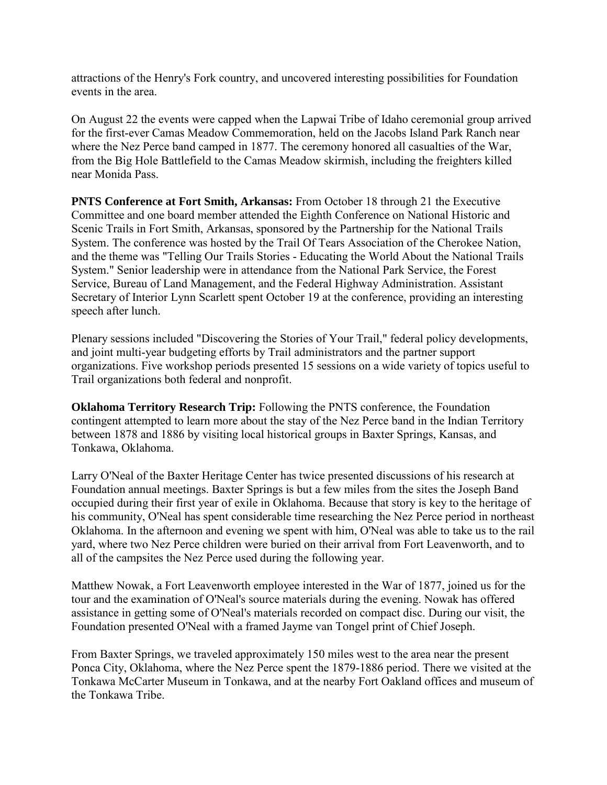attractions of the Henry's Fork country, and uncovered interesting possibilities for Foundation events in the area.

On August 22 the events were capped when the Lapwai Tribe of Idaho ceremonial group arrived for the first-ever Camas Meadow Commemoration, held on the Jacobs Island Park Ranch near where the Nez Perce band camped in 1877. The ceremony honored all casualties of the War, from the Big Hole Battlefield to the Camas Meadow skirmish, including the freighters killed near Monida Pass.

**PNTS Conference at Fort Smith, Arkansas:** From October 18 through 21 the Executive Committee and one board member attended the Eighth Conference on National Historic and Scenic Trails in Fort Smith, Arkansas, sponsored by the Partnership for the National Trails System. The conference was hosted by the Trail Of Tears Association of the Cherokee Nation, and the theme was "Telling Our Trails Stories - Educating the World About the National Trails System." Senior leadership were in attendance from the National Park Service, the Forest Service, Bureau of Land Management, and the Federal Highway Administration. Assistant Secretary of Interior Lynn Scarlett spent October 19 at the conference, providing an interesting speech after lunch.

Plenary sessions included "Discovering the Stories of Your Trail," federal policy developments, and joint multi-year budgeting efforts by Trail administrators and the partner support organizations. Five workshop periods presented 15 sessions on a wide variety of topics useful to Trail organizations both federal and nonprofit.

**Oklahoma Territory Research Trip:** Following the PNTS conference, the Foundation contingent attempted to learn more about the stay of the Nez Perce band in the Indian Territory between 1878 and 1886 by visiting local historical groups in Baxter Springs, Kansas, and Tonkawa, Oklahoma.

Larry O'Neal of the Baxter Heritage Center has twice presented discussions of his research at Foundation annual meetings. Baxter Springs is but a few miles from the sites the Joseph Band occupied during their first year of exile in Oklahoma. Because that story is key to the heritage of his community, O'Neal has spent considerable time researching the Nez Perce period in northeast Oklahoma. In the afternoon and evening we spent with him, O'Neal was able to take us to the rail yard, where two Nez Perce children were buried on their arrival from Fort Leavenworth, and to all of the campsites the Nez Perce used during the following year.

Matthew Nowak, a Fort Leavenworth employee interested in the War of 1877, joined us for the tour and the examination of O'Neal's source materials during the evening. Nowak has offered assistance in getting some of O'Neal's materials recorded on compact disc. During our visit, the Foundation presented O'Neal with a framed Jayme van Tongel print of Chief Joseph.

From Baxter Springs, we traveled approximately 150 miles west to the area near the present Ponca City, Oklahoma, where the Nez Perce spent the 1879-1886 period. There we visited at the Tonkawa McCarter Museum in Tonkawa, and at the nearby Fort Oakland offices and museum of the Tonkawa Tribe.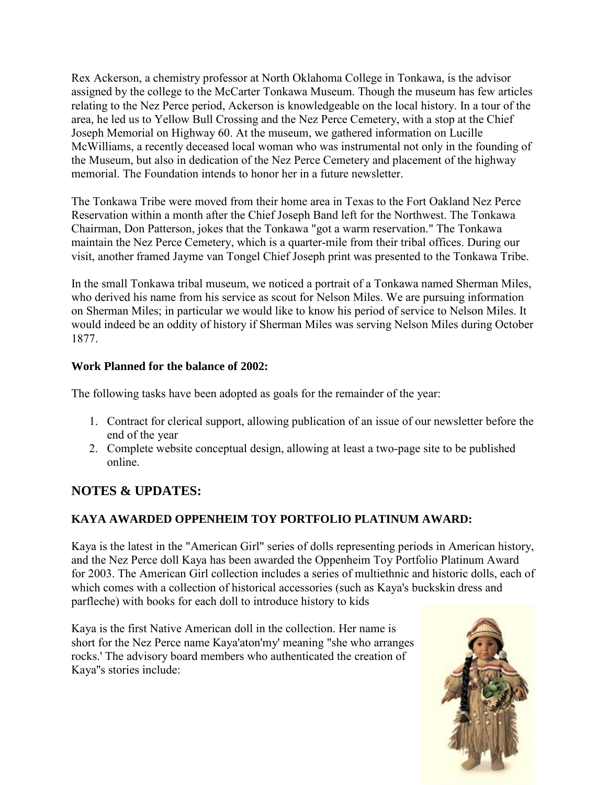Rex Ackerson, a chemistry professor at North Oklahoma College in Tonkawa, is the advisor assigned by the college to the McCarter Tonkawa Museum. Though the museum has few articles relating to the Nez Perce period, Ackerson is knowledgeable on the local history. In a tour of the area, he led us to Yellow Bull Crossing and the Nez Perce Cemetery, with a stop at the Chief Joseph Memorial on Highway 60. At the museum, we gathered information on Lucille McWilliams, a recently deceased local woman who was instrumental not only in the founding of the Museum, but also in dedication of the Nez Perce Cemetery and placement of the highway memorial. The Foundation intends to honor her in a future newsletter.

The Tonkawa Tribe were moved from their home area in Texas to the Fort Oakland Nez Perce Reservation within a month after the Chief Joseph Band left for the Northwest. The Tonkawa Chairman, Don Patterson, jokes that the Tonkawa "got a warm reservation." The Tonkawa maintain the Nez Perce Cemetery, which is a quarter-mile from their tribal offices. During our visit, another framed Jayme van Tongel Chief Joseph print was presented to the Tonkawa Tribe.

In the small Tonkawa tribal museum, we noticed a portrait of a Tonkawa named Sherman Miles, who derived his name from his service as scout for Nelson Miles. We are pursuing information on Sherman Miles; in particular we would like to know his period of service to Nelson Miles. It would indeed be an oddity of history if Sherman Miles was serving Nelson Miles during October 1877.

#### **Work Planned for the balance of 2002:**

The following tasks have been adopted as goals for the remainder of the year:

- 1. Contract for clerical support, allowing publication of an issue of our newsletter before the end of the year
- 2. Complete website conceptual design, allowing at least a two-page site to be published online.

# **NOTES & UPDATES:**

### **KAYA AWARDED OPPENHEIM TOY PORTFOLIO PLATINUM AWARD:**

Kaya is the latest in the "American Girl" series of dolls representing periods in American history, and the Nez Perce doll Kaya has been awarded the Oppenheim Toy Portfolio Platinum Award for 2003. The American Girl collection includes a series of multiethnic and historic dolls, each of which comes with a collection of historical accessories (such as Kaya's buckskin dress and parfleche) with books for each doll to introduce history to kids

Kaya is the first Native American doll in the collection. Her name is short for the Nez Perce name Kaya'aton'my' meaning "she who arranges rocks.' The advisory board members who authenticated the creation of Kaya''s stories include:

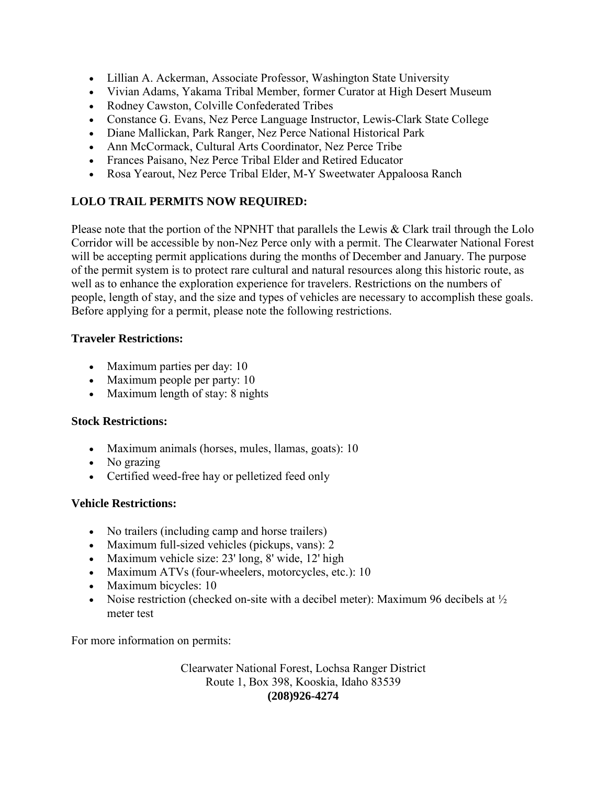- Lillian A. Ackerman, Associate Professor, Washington State University
- Vivian Adams, Yakama Tribal Member, former Curator at High Desert Museum
- Rodney Cawston, Colville Confederated Tribes
- Constance G. Evans, Nez Perce Language Instructor, Lewis-Clark State College
- Diane Mallickan, Park Ranger, Nez Perce National Historical Park
- Ann McCormack, Cultural Arts Coordinator, Nez Perce Tribe
- Frances Paisano, Nez Perce Tribal Elder and Retired Educator
- Rosa Yearout, Nez Perce Tribal Elder, M-Y Sweetwater Appaloosa Ranch

### **LOLO TRAIL PERMITS NOW REQUIRED:**

Please note that the portion of the NPNHT that parallels the Lewis & Clark trail through the Lolo Corridor will be accessible by non-Nez Perce only with a permit. The Clearwater National Forest will be accepting permit applications during the months of December and January. The purpose of the permit system is to protect rare cultural and natural resources along this historic route, as well as to enhance the exploration experience for travelers. Restrictions on the numbers of people, length of stay, and the size and types of vehicles are necessary to accomplish these goals. Before applying for a permit, please note the following restrictions.

#### **Traveler Restrictions:**

- Maximum parties per day: 10
- Maximum people per party: 10
- Maximum length of stay: 8 nights

#### **Stock Restrictions:**

- Maximum animals (horses, mules, llamas, goats): 10
- No grazing
- Certified weed-free hay or pelletized feed only

#### **Vehicle Restrictions:**

- No trailers (including camp and horse trailers)
- Maximum full-sized vehicles (pickups, vans): 2
- Maximum vehicle size: 23' long, 8' wide, 12' high
- Maximum ATVs (four-wheelers, motorcycles, etc.): 10
- Maximum bicycles: 10
- Noise restriction (checked on-site with a decibel meter): Maximum 96 decibels at  $\frac{1}{2}$ meter test

For more information on permits:

Clearwater National Forest, Lochsa Ranger District Route 1, Box 398, Kooskia, Idaho 83539 **(208)926-4274**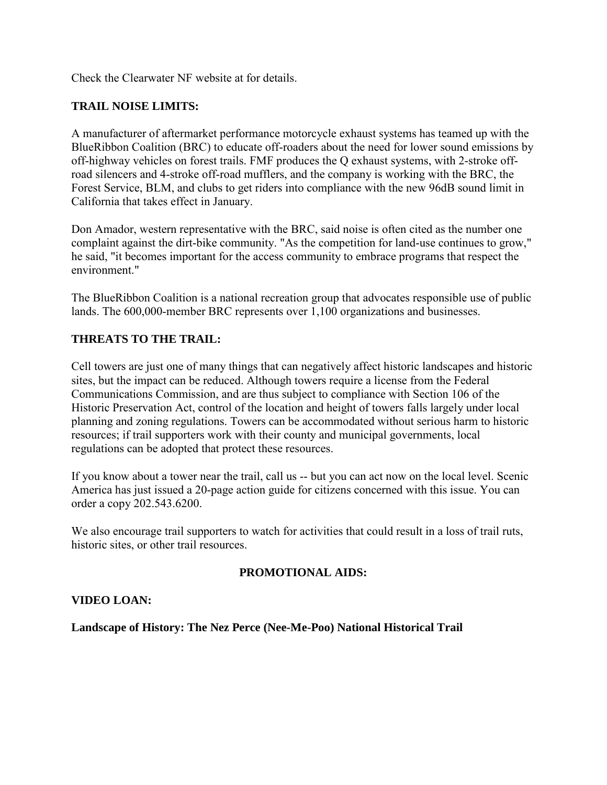Check the Clearwater NF website at for details.

#### **TRAIL NOISE LIMITS:**

A manufacturer of aftermarket performance motorcycle exhaust systems has teamed up with the BlueRibbon Coalition (BRC) to educate off-roaders about the need for lower sound emissions by off-highway vehicles on forest trails. FMF produces the Q exhaust systems, with 2-stroke offroad silencers and 4-stroke off-road mufflers, and the company is working with the BRC, the Forest Service, BLM, and clubs to get riders into compliance with the new 96dB sound limit in California that takes effect in January.

Don Amador, western representative with the BRC, said noise is often cited as the number one complaint against the dirt-bike community. "As the competition for land-use continues to grow," he said, "it becomes important for the access community to embrace programs that respect the environment."

The BlueRibbon Coalition is a national recreation group that advocates responsible use of public lands. The 600,000-member BRC represents over 1,100 organizations and businesses.

#### **THREATS TO THE TRAIL:**

Cell towers are just one of many things that can negatively affect historic landscapes and historic sites, but the impact can be reduced. Although towers require a license from the Federal Communications Commission, and are thus subject to compliance with Section 106 of the Historic Preservation Act, control of the location and height of towers falls largely under local planning and zoning regulations. Towers can be accommodated without serious harm to historic resources; if trail supporters work with their county and municipal governments, local regulations can be adopted that protect these resources.

If you know about a tower near the trail, call us -- but you can act now on the local level. Scenic America has just issued a 20-page action guide for citizens concerned with this issue. You can order a copy 202.543.6200.

We also encourage trail supporters to watch for activities that could result in a loss of trail ruts, historic sites, or other trail resources.

#### **PROMOTIONAL AIDS:**

#### **VIDEO LOAN:**

**Landscape of History: The Nez Perce (Nee-Me-Poo) National Historical Trail**